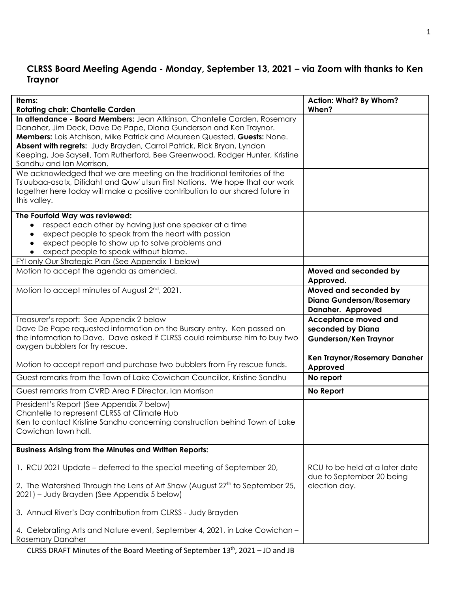## **CLRSS Board Meeting Agenda - Monday, September 13, 2021 – via Zoom with thanks to Ken Traynor**

| Items:<br><b>Rotating chair: Chantelle Carden</b>                                                                                                                                                                                                                                                                                                                                                             | <b>Action: What? By Whom?</b><br>When?                                        |
|---------------------------------------------------------------------------------------------------------------------------------------------------------------------------------------------------------------------------------------------------------------------------------------------------------------------------------------------------------------------------------------------------------------|-------------------------------------------------------------------------------|
| In attendance - Board Members: Jean Atkinson, Chantelle Carden, Rosemary<br>Danaher, Jim Deck, Dave De Pape, Diana Gunderson and Ken Traynor.<br>Members: Lois Atchison, Mike Patrick and Maureen Quested. Guests: None.<br>Absent with regrets: Judy Brayden, Carrol Patrick, Rick Bryan, Lyndon<br>Keeping, Joe Saysell, Tom Rutherford, Bee Greenwood, Rodger Hunter, Kristine<br>Sandhu and Ian Morrison. |                                                                               |
| We acknowledged that we are meeting on the traditional territories of the<br>Ts'uubaa-asatx, Ditidaht and Quw'utsun First Nations. We hope that our work<br>together here today will make a positive contribution to our shared future in<br>this valley.                                                                                                                                                     |                                                                               |
| The Fourfold Way was reviewed:<br>respect each other by having just one speaker at a time<br>$\bullet$<br>expect people to speak from the heart with passion<br>$\bullet$<br>expect people to show up to solve problems and<br>$\bullet$<br>expect people to speak without blame.<br>$\bullet$<br>FYI only Our Strategic Plan (See Appendix 1 below)                                                          |                                                                               |
| Motion to accept the agenda as amended.                                                                                                                                                                                                                                                                                                                                                                       | Moved and seconded by<br>Approved.                                            |
| Motion to accept minutes of August 2 <sup>nd</sup> , 2021.                                                                                                                                                                                                                                                                                                                                                    | Moved and seconded by<br><b>Diana Gunderson/Rosemary</b><br>Danaher. Approved |
| Treasurer's report: See Appendix 2 below<br>Dave De Pape requested information on the Bursary entry. Ken passed on<br>the information to Dave. Dave asked if CLRSS could reimburse him to buy two<br>oxygen bubblers for fry rescue.                                                                                                                                                                          | Acceptance moved and<br>seconded by Diana<br><b>Gunderson/Ken Traynor</b>     |
| Motion to accept report and purchase two bubblers from Fry rescue funds.                                                                                                                                                                                                                                                                                                                                      | Ken Traynor/Rosemary Danaher<br>Approved                                      |
| Guest remarks from the Town of Lake Cowichan Councillor, Kristine Sandhu                                                                                                                                                                                                                                                                                                                                      | No report                                                                     |
| Guest remarks from CVRD Area F Director, Ian Morrison                                                                                                                                                                                                                                                                                                                                                         | No Report                                                                     |
| President's Report (See Appendix 7 below)<br>Chantelle to represent CLRSS at Climate Hub<br>Ken to contact Kristine Sandhu concerning construction behind Town of Lake<br>Cowichan town hall.                                                                                                                                                                                                                 |                                                                               |
| <b>Business Arising from the Minutes and Written Reports:</b>                                                                                                                                                                                                                                                                                                                                                 |                                                                               |
| 1. RCU 2021 Update – deferred to the special meeting of September 20,<br>2. The Watershed Through the Lens of Art Show (August 27 <sup>th</sup> to September 25,                                                                                                                                                                                                                                              | RCU to be held at a later date<br>due to September 20 being<br>election day.  |
| 2021) – Judy Brayden (See Appendix 5 below)                                                                                                                                                                                                                                                                                                                                                                   |                                                                               |
| 3. Annual River's Day contribution from CLRSS - Judy Brayden                                                                                                                                                                                                                                                                                                                                                  |                                                                               |
| 4. Celebrating Arts and Nature event, September 4, 2021, in Lake Cowichan -<br><b>Rosemary Danaher</b>                                                                                                                                                                                                                                                                                                        |                                                                               |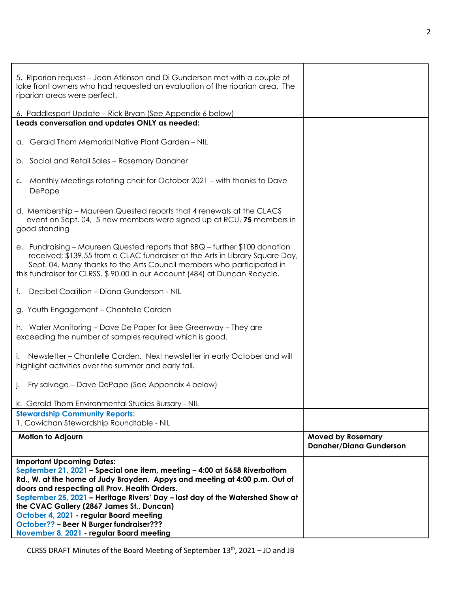| 5. Riparian request – Jean Atkinson and Di Gunderson met with a couple of<br>lake front owners who had requested an evaluation of the riparian area. The<br>riparian areas were perfect.                                                                                                                                                                                                                                                                         |                                                            |
|------------------------------------------------------------------------------------------------------------------------------------------------------------------------------------------------------------------------------------------------------------------------------------------------------------------------------------------------------------------------------------------------------------------------------------------------------------------|------------------------------------------------------------|
| 6. Paddlesport Update – Rick Bryan (See Appendix 6 below)                                                                                                                                                                                                                                                                                                                                                                                                        |                                                            |
| Leads conversation and updates ONLY as needed:                                                                                                                                                                                                                                                                                                                                                                                                                   |                                                            |
| a. Gerald Thom Memorial Native Plant Garden - NIL                                                                                                                                                                                                                                                                                                                                                                                                                |                                                            |
| b. Social and Retail Sales - Rosemary Danaher                                                                                                                                                                                                                                                                                                                                                                                                                    |                                                            |
| c. Monthly Meetings rotating chair for October 2021 – with thanks to Dave<br>DePape                                                                                                                                                                                                                                                                                                                                                                              |                                                            |
| d. Membership - Maureen Quested reports that 4 renewals at the CLACS<br>event on Sept. 04, 5 new members were signed up at RCU, 75 members in<br>good standing                                                                                                                                                                                                                                                                                                   |                                                            |
| e. Fundraising – Maureen Quested reports that BBQ – further \$100 donation<br>received; \$139.55 from a CLAC fundraiser at the Arts in Library Square Day,<br>Sept. 04. Many thanks to the Arts Council members who participated in<br>this fundraiser for CLRSS. \$90.00 in our Account (484) at Duncan Recycle.                                                                                                                                                |                                                            |
| Decibel Coalition - Diana Gunderson - NIL<br>f.                                                                                                                                                                                                                                                                                                                                                                                                                  |                                                            |
| g. Youth Engagement - Chantelle Carden                                                                                                                                                                                                                                                                                                                                                                                                                           |                                                            |
| h. Water Monitoring - Dave De Paper for Bee Greenway - They are<br>exceeding the number of samples required which is good.                                                                                                                                                                                                                                                                                                                                       |                                                            |
| Newsletter - Chantelle Carden. Next newsletter in early October and will<br>i.<br>highlight activities over the summer and early fall.                                                                                                                                                                                                                                                                                                                           |                                                            |
| j. Fry salvage – Dave DePape (See Appendix 4 below)                                                                                                                                                                                                                                                                                                                                                                                                              |                                                            |
| k. Gerald Thom Environmental Studies Bursary - NIL                                                                                                                                                                                                                                                                                                                                                                                                               |                                                            |
| <b>Stewardship Community Reports:</b><br>1. Cowichan Stewardship Roundtable - NIL                                                                                                                                                                                                                                                                                                                                                                                |                                                            |
| <b>Motion to Adjourn</b>                                                                                                                                                                                                                                                                                                                                                                                                                                         | <b>Moved by Rosemary</b><br><b>Danaher/Diana Gunderson</b> |
| <b>Important Upcoming Dates:</b><br>September 21, 2021 - Special one item, meeting - 4:00 at 5658 Riverbottom<br>Rd., W. at the home of Judy Brayden. Appys and meeting at 4:00 p.m. Out of<br>doors and respecting all Prov. Health Orders.<br>September 25, 2021 - Heritage Rivers' Day - last day of the Watershed Show at<br>the CVAC Gallery (2867 James St., Duncan)<br>October 4, 2021 - regular Board meeting<br>October?? - Beer N Burger fundraiser??? |                                                            |
| November 8, 2021 - regular Board meeting                                                                                                                                                                                                                                                                                                                                                                                                                         |                                                            |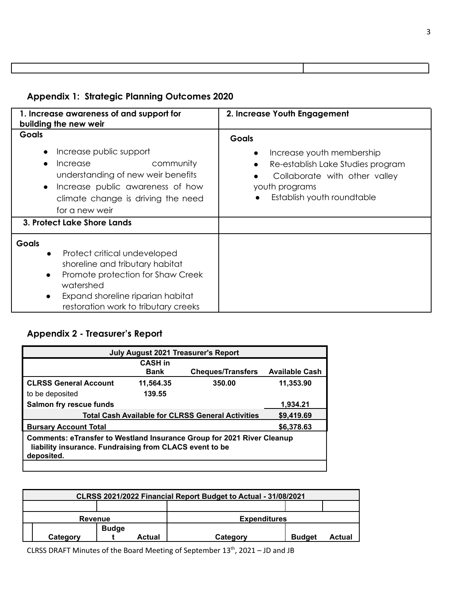# **Appendix 1: Strategic Planning Outcomes 2020**

| 1. Increase awareness of and support for<br>building the new weir                                                                                                                                                           | 2. Increase Youth Engagement                                                                                                                                              |  |  |
|-----------------------------------------------------------------------------------------------------------------------------------------------------------------------------------------------------------------------------|---------------------------------------------------------------------------------------------------------------------------------------------------------------------------|--|--|
| Goals                                                                                                                                                                                                                       | <b>Goals</b>                                                                                                                                                              |  |  |
| Increase public support<br>community<br>Increase<br>understanding of new weir benefits<br>Increase public awareness of how<br>$\bullet$<br>climate change is driving the need<br>for a new weir                             | Increase youth membership<br>$\bullet$<br>Re-establish Lake Studies program<br>$\bullet$<br>Collaborate with other valley<br>youth programs<br>Establish youth roundtable |  |  |
| 3. Protect Lake Shore Lands                                                                                                                                                                                                 |                                                                                                                                                                           |  |  |
| <b>Goals</b><br>Protect critical undeveloped<br>$\bullet$<br>shoreline and tributary habitat<br>Promote protection for Shaw Creek<br>watershed<br>Expand shoreline riparian habitat<br>restoration work to tributary creeks |                                                                                                                                                                           |  |  |

## **Appendix 2 - Treasurer's Report**

| <b>July August 2021 Treasurer's Report</b>                                                                                                             |             |                                                                                      |  |  |
|--------------------------------------------------------------------------------------------------------------------------------------------------------|-------------|--------------------------------------------------------------------------------------|--|--|
| <b>CASH in</b>                                                                                                                                         |             |                                                                                      |  |  |
|                                                                                                                                                        |             | <b>Available Cash</b>                                                                |  |  |
| 11,564.35                                                                                                                                              | 350.00      | 11,353.90                                                                            |  |  |
| 139.55                                                                                                                                                 |             |                                                                                      |  |  |
|                                                                                                                                                        |             | 1.934.21                                                                             |  |  |
|                                                                                                                                                        |             | \$9,419.69                                                                           |  |  |
|                                                                                                                                                        |             | \$6,378.63                                                                           |  |  |
| <b>Comments: eTransfer to Westland Insurance Group for 2021 River Cleanup</b><br>liability insurance. Fundraising from CLACS event to be<br>deposited. |             |                                                                                      |  |  |
|                                                                                                                                                        | <b>Bank</b> | <b>Cheques/Transfers</b><br><b>Total Cash Available for CLRSS General Activities</b> |  |  |

| CLRSS 2021/2022 Financial Report Budget to Actual - 31/08/2021 |          |                     |               |          |               |        |
|----------------------------------------------------------------|----------|---------------------|---------------|----------|---------------|--------|
|                                                                |          |                     |               |          |               |        |
| <b>Revenue</b>                                                 |          | <b>Expenditures</b> |               |          |               |        |
|                                                                |          | <b>Budge</b>        |               |          |               |        |
|                                                                | Category |                     | <b>Actual</b> | Category | <b>Budget</b> | Actual |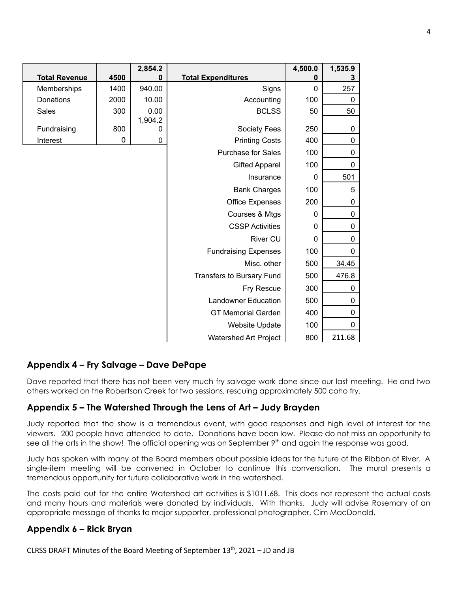|                      |      | 2,854.2         |                              | 4,500.0     | 1,535.9      |
|----------------------|------|-----------------|------------------------------|-------------|--------------|
| <b>Total Revenue</b> | 4500 | 0               | <b>Total Expenditures</b>    | 0           | 3            |
| Memberships          | 1400 | 940.00          | Signs                        | $\Omega$    | 257          |
| Donations            | 2000 | 10.00           | Accounting                   | 100         | 0            |
| Sales                | 300  | 0.00<br>1,904.2 | <b>BCLSS</b>                 | 50          | 50           |
| Fundraising          | 800  | 0               | Society Fees                 | 250         | 0            |
| Interest             | 0    | 0               | <b>Printing Costs</b>        | 400         | $\pmb{0}$    |
|                      |      |                 | Purchase for Sales           | 100         | $\mathbf 0$  |
|                      |      |                 | <b>Gifted Apparel</b>        | 100         | $\mathbf 0$  |
|                      |      |                 | Insurance                    | $\mathbf 0$ | 501          |
|                      |      |                 | <b>Bank Charges</b>          | 100         | 5            |
|                      |      |                 | <b>Office Expenses</b>       | 200         | $\mathbf 0$  |
|                      |      |                 | Courses & Mtgs               | 0           | 0            |
|                      |      |                 | <b>CSSP Activities</b>       | $\mathbf 0$ | $\mathbf 0$  |
|                      |      |                 | <b>River CU</b>              | $\mathbf 0$ | $\mathbf 0$  |
|                      |      |                 | <b>Fundraising Expenses</b>  | 100         | $\mathbf{0}$ |
|                      |      |                 | Misc. other                  | 500         | 34.45        |
|                      |      |                 | Transfers to Bursary Fund    | 500         | 476.8        |
|                      |      |                 | Fry Rescue                   | 300         | 0            |
|                      |      |                 | <b>Landowner Education</b>   | 500         | 0            |
|                      |      |                 | <b>GT Memorial Garden</b>    | 400         | 0            |
|                      |      |                 | <b>Website Update</b>        | 100         | 0            |
|                      |      |                 | <b>Watershed Art Project</b> | 800         | 211.68       |

## **Appendix 4 – Fry Salvage – Dave DePape**

Dave reported that there has not been very much fry salvage work done since our last meeting. He and two others worked on the Robertson Creek for two sessions, rescuing approximately 500 coho fry.

### **Appendix 5 – The Watershed Through the Lens of Art – Judy Brayden**

Judy reported that the show is a tremendous event, with good responses and high level of interest for the viewers. 200 people have attended to date. Donations have been low. Please do not miss an opportunity to see all the arts in the show! The official opening was on September 9<sup>th</sup> and again the response was good.

Judy has spoken with many of the Board members about possible ideas for the future of the Ribbon of River. A single-item meeting will be convened in October to continue this conversation. The mural presents a tremendous opportunity for future collaborative work in the watershed.

The costs paid out for the entire Watershed art activities is \$1011.68. This does not represent the actual costs and many hours and materials were donated by individuals. With thanks. Judy will advise Rosemary of an appropriate message of thanks to major supporter, professional photographer, Cim MacDonald.

### **Appendix 6 – Rick Bryan**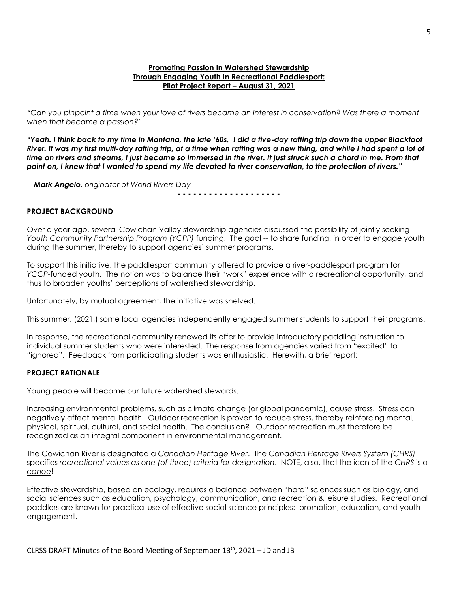#### **Promoting Passion In Watershed Stewardship Through Engaging Youth In Recreational Paddlesport: Pilot Project Report – August 31, 2021**

"Can you pinpoint a time when your love of rivers became an interest in conservation? Was there a moment *when that became a passion?"*

"Yeah. I think back to my time in Montana, the late '60s, I did a five-day rafting trip down the upper Blackfoot River. It was my first multi-day rafting trip, at a time when rafting was a new thing, and while I had spent a lot of time on rivers and streams. I just became so immersed in the river. It just struck such a chord in me. From that point on, I knew that I wanted to spend my life devoted to river conservation, to the protection of rivers."

*-- Mark Angelo, originator of World Rivers Day*

**- - - - - - - - - - - - - - - - - - - -**

#### **PROJECT BACKGROUND**

Over a year ago, several Cowichan Valley stewardship agencies discussed the possibility of jointly seeking *Youth Community Partnership Program (YCPP)* funding. The goal -- to share funding, in order to engage youth during the summer, thereby to support agencies' summer programs.

To support this initiative, the paddlesport community offered to provide a river-paddlesport program for *YCCP*-funded youth. The notion was to balance their "work" experience with a recreational opportunity, and thus to broaden youths' perceptions of watershed stewardship.

Unfortunately, by mutual agreement, the initiative was shelved.

This summer, (2021,) some local agencies independently engaged summer students to support their programs.

In response, the recreational community renewed its offer to provide introductory paddling instruction to individual summer students who were interested. The response from agencies varied from "excited" to "ignored". Feedback from participating students was enthusiastic! Herewith, a brief report:

#### **PROJECT RATIONALE**

Young people will become our future watershed stewards.

Increasing environmental problems, such as climate change (or global pandemic), cause stress. Stress can negatively affect mental health. Outdoor recreation is proven to reduce stress, thereby reinforcing mental, physical, spiritual, cultural, and social health. The conclusion? Outdoor recreation must therefore be recognized as an integral component in environmental management.

The Cowichan River is designated a *Canadian Heritage River*. The *Canadian Heritage Rivers System (CHRS)* specifies *recreational values as one (of three) criteria for designation*. NOTE, also, that the icon of the *CHRS* is a *canoe*!

Effective stewardship, based on ecology, requires a balance between "hard" sciences such as biology, and social sciences such as education, psychology, communication, and recreation & leisure studies. Recreational paddlers are known for practical use of effective social science principles: promotion, education, and youth engagement.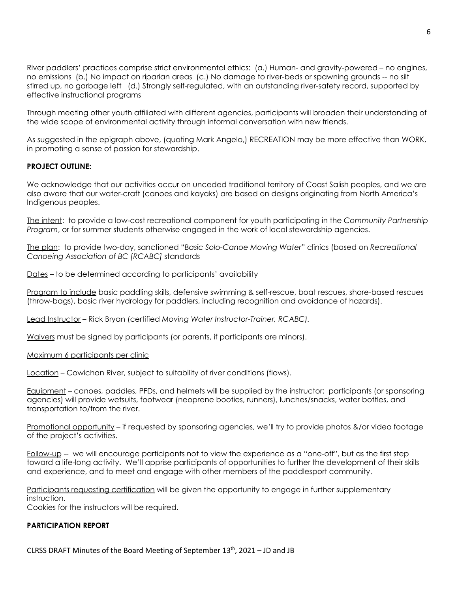River paddlers' practices comprise strict environmental ethics: (a.) Human- and gravity-powered – no engines, no emissions (b.) No impact on riparian areas (c.) No damage to river-beds or spawning grounds -- no silt stirred up, no garbage left (d.) Strongly self-regulated, with an outstanding river-safety record, supported by effective instructional programs

Through meeting other youth affiliated with different agencies, participants will broaden their understanding of the wide scope of environmental activity through informal conversation with new friends.

As suggested in the epigraph above, (quoting Mark Angelo,) RECREATION may be more effective than WORK, in promoting a sense of passion for stewardship.

#### **PROJECT OUTLINE:**

We acknowledge that our activities occur on unceded traditional territory of Coast Salish peoples, and we are also aware that our water-craft (canoes and kayaks) are based on designs originating from North America's Indigenous peoples.

The intent: to provide a low-cost recreational component for youth participating in the *Community Partnership Program*, or for summer students otherwise engaged in the work of local stewardship agencies.

The plan: to provide two-day, sanctioned "*Basic Solo-Canoe Moving Water*" clinics (based on *Recreational Canoeing Association of BC [RCABC]* standards

Dates – to be determined according to participants' availability

Program to include basic paddling skills, defensive swimming & self-rescue, boat rescues, shore-based rescues (throw-bags), basic river hydrology for paddlers, including recognition and avoidance of hazards).

Lead Instructor – Rick Bryan (certified *Moving Water Instructor-Trainer, RCABC).*

Waivers must be signed by participants (or parents, if participants are minors).

Maximum 6 participants per clinic

Location – Cowichan River, subject to suitability of river conditions (flows).

Equipment – canoes, paddles, PFDs, and helmets will be supplied by the instructor; participants (or sponsoring agencies) will provide wetsuits, footwear (neoprene booties, runners), lunches/snacks, water bottles, and transportation to/from the river.

Promotional opportunity – if requested by sponsoring agencies, we'll try to provide photos &/or video footage of the project's activities.

Follow-up -- we will encourage participants not to view the experience as a "one-off", but as the first step toward a life-long activity. We'll apprise participants of opportunities to further the development of their skills and experience, and to meet and engage with other members of the paddlesport community.

Participants requesting certification will be given the opportunity to engage in further supplementary instruction.

Cookies for the instructors will be required.

#### **PARTICIPATION REPORT**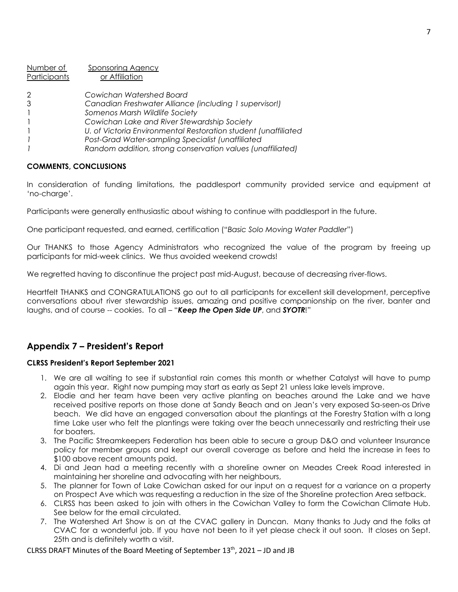| Number of    | <b>Sponsoring Agency</b>                                       |
|--------------|----------------------------------------------------------------|
| Participants | or Affiliation                                                 |
| 2            | Cowichan Watershed Board                                       |
| 3            | Canadian Freshwater Alliance (including 1 supervisor!)         |
| $\mathbf{1}$ | Somenos Marsh Wildlife Society                                 |
|              | Cowichan Lake and River Stewardship Society                    |
| $\mathbf{1}$ | U. of Victoria Environmental Restoration student (unaffiliated |
|              | Post-Grad Water-sampling Specialist (unaffiliated              |
|              | Random addition, strong conservation values (unaffiliated)     |

#### **COMMENTS, CONCLUSIONS**

In consideration of funding limitations, the paddlesport community provided service and equipment at 'no-charge'.

Participants were generally enthusiastic about wishing to continue with paddlesport in the future.

One participant requested, and earned, certification ("*Basic Solo Moving Water Paddler*")

Our THANKS to those Agency Administrators who recognized the value of the program by freeing up participants for mid-week clinics. We thus avoided weekend crowds!

We regretted having to discontinue the project past mid-August, because of decreasing river-flows.

Heartfelt THANKS and CONGRATULATIONS go out to all participants for excellent skill development, perceptive conversations about river stewardship issues, amazing and positive companionship on the river, banter and laughs, and of course -- cookies. To all – "*Keep the Open Side UP*, and *SYOTR*!"

## **Appendix 7 – President's Report**

#### **CLRSS President's Report September 2021**

- 1. We are all waiting to see if substantial rain comes this month or whether Catalyst will have to pump again this year. Right now pumping may start as early as Sept 21 unless lake levels improve.
- 2. Elodie and her team have been very active planting on beaches around the Lake and we have received positive reports on those done at Sandy Beach and on Jean's very exposed Sa-seen-os Drive beach. We did have an engaged conversation about the plantings at the Forestry Station with a long time Lake user who felt the plantings were taking over the beach unnecessarily and restricting their use for boaters.
- 3. The Pacific Streamkeepers Federation has been able to secure a group D&O and volunteer Insurance policy for member groups and kept our overall coverage as before and held the increase in fees to \$100 above recent amounts paid.
- 4. Di and Jean had a meeting recently with a shoreline owner on Meades Creek Road interested in maintaining her shoreline and advocating with her neighbours,
- 5. The planner for Town of Lake Cowichan asked for our input on a request for a variance on a property on Prospect Ave which was requesting a reduction in the size of the Shoreline protection Area setback.
- 6. CLRSS has been asked to join with others in the Cowichan Valley to form the Cowichan Climate Hub. See below for the email circulated.
- 7. The Watershed Art Show is on at the CVAC gallery in Duncan. Many thanks to Judy and the folks at CVAC for a wonderful job. If you have not been to it yet please check it out soon. It closes on Sept. 25th and is definitely worth a visit.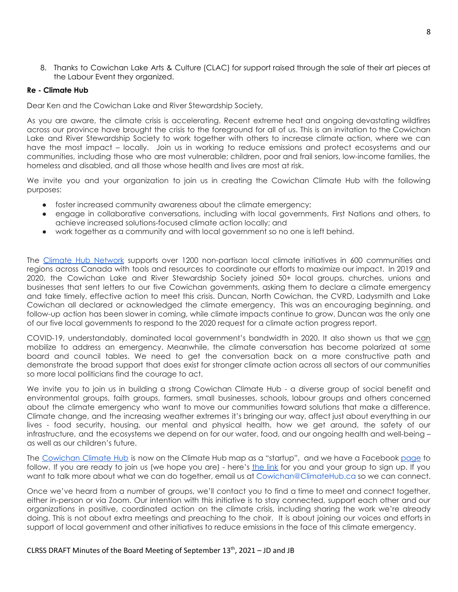8. Thanks to Cowichan Lake Arts & Culture (CLAC) for support raised through the sale of their art pieces at the Labour Event they organized.

#### **Re - Climate Hub**

Dear Ken and the Cowichan Lake and River Stewardship Society,

As you are aware, the climate crisis is accelerating. Recent extreme heat and ongoing devastating wildfires across our province have brought the crisis to the foreground for all of us. This is an invitation to the Cowichan Lake and River Stewardship Society to work together with others to increase climate action, where we can have the most impact – locally. Join us in working to reduce emissions and protect ecosystems and our communities, including those who are most vulnerable; children, poor and frail seniors, low-income families, the homeless and disabled, and all those whose health and lives are most at risk.

We invite you and your organization to join us in creating the Cowichan Climate Hub with the following purposes:

- foster increased community awareness about the climate emergency;
- engage in collaborative conversations, including with local governments, First Nations and others, to achieve increased solutions-focused climate action locally; and
- work together as a community and with local government so no one is left behind.

The Climate Hub [Network](http://www.climatehub.ca/) supports over 1200 non-partisan local climate initiatives in 600 communities and regions across Canada with tools and resources to coordinate our efforts to maximize our impact. In 2019 and 2020, the Cowichan Lake and River Stewardship Society joined 50+ local groups, churches, unions and businesses that sent letters to our five Cowichan governments, asking them to declare a climate emergency and take timely, effective action to meet this crisis. Duncan, North Cowichan, the CVRD, Ladysmith and Lake Cowichan all declared or acknowledged the climate emergency. This was an encouraging beginning, and follow-up action has been slower in coming, while climate impacts continue to grow. Duncan was the only one of our five local governments to respond to the 2020 request for a climate action progress report.

COVID-19, understandably, dominated local government's bandwidth in 2020. It also shown us that we can mobilize to address an emergency. Meanwhile, the climate conversation has become polarized at some board and council tables. We need to get the conversation back on a more constructive path and demonstrate the broad support that does exist for stronger climate action across all sectors of our communities so more local politicians find the courage to act.

We invite you to join us in building a strong Cowichan Climate Hub - a diverse group of social benefit and environmental groups, faith groups, farmers, small businesses, schools, labour groups and others concerned about the climate emergency who want to move our communities toward solutions that make a difference. Climate change, and the increasing weather extremes it's bringing our way, affect just about everything in our lives - food security, housing, our mental and physical health, how we get around, the safety of our infrastructure, and the ecosystems we depend on for our water, food, and our ongoing health and well-being – as well as our children's future.

The [Cowichan](https://climatehub.mystrikingly.com/blog/cowichan) Climate Hub is now on the Climate Hub map as a "startup", and we have a Facebook [page](https://www.facebook.com/CowichanClimateHub) to follow. If you are ready to join us (we hope you are) - here's [the](https://airtable.com/shrlCce3iZvGrPFLk) link for you and your group to sign up. If you want to talk more about what we can do together, email us at Cowichan@ClimateHub.ca so we can connect.

Once we've heard from a number of groups, we'll contact you to find a time to meet and connect together, either in-person or via Zoom. Our intention with this initiative is to stay connected, support each other and our organizations in positive, coordinated action on the climate crisis, including sharing the work we're already doing. This is not about extra meetings and preaching to the choir. It is about joining our voices and efforts in support of local government and other initiatives to reduce emissions in the face of this climate emergency.